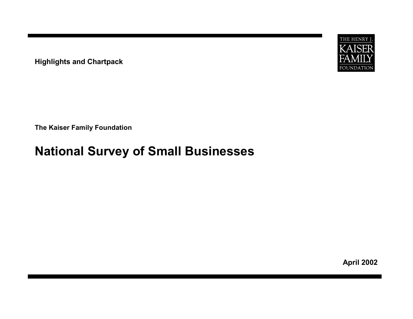**Highlights and Chartpack**



**The Kaiser Family Foundation**

# **National Survey of Small Businesses**

**April 2002**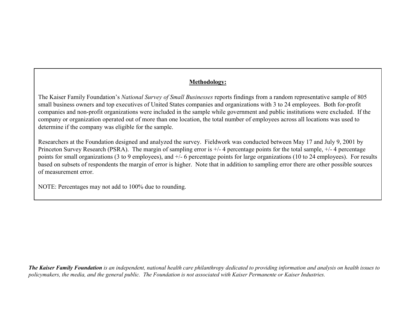### **Methodology:**

The Kaiser Family Foundation's *National Survey of Small Businesses* reports findings from a random representative sample of 805 small business owners and top executives of United States companies and organizations with 3 to 24 employees. Both for-profit companies and non-profit organizations were included in the sample while government and public institutions were excluded. If the company or organization operated out of more than one location, the total number of employees across all locations was used to determine if the company was eligible for the sample.

Researchers at the Foundation designed and analyzed the survey. Fieldwork was conducted between May 17 and July 9, 2001 by Princeton Survey Research (PSRA). The margin of sampling error is +/- 4 percentage points for the total sample, +/- 4 percentage points for small organizations (3 to 9 employees), and +/- 6 percentage points for large organizations (10 to 24 employees). For results based on subsets of respondents the margin of error is higher. Note that in addition to sampling error there are other possible sources of measurement error.

NOTE: Percentages may not add to 100% due to rounding.

*The Kaiser Family Foundation is an independent, national health care philanthropy dedicated to providing information and analysis on health issues to policymakers, the media, and the general public. The Foundation is not associated with Kaiser Permanente or Kaiser Industries.*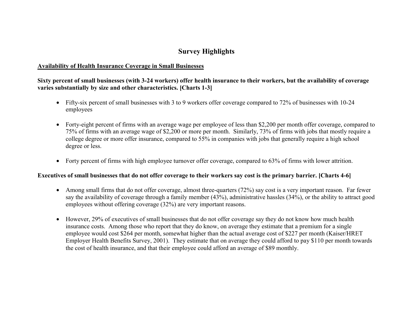### **Survey Highlights**

#### **Availability of Health Insurance Coverage in Small Businesses**

### **Sixty percent of small businesses (with 3-24 workers) offer health insurance to their workers, but the availability of coverage varies substantially by size and other characteristics. [Charts 1-3]**

- Fifty-six percent of small businesses with 3 to 9 workers offer coverage compared to 72% of businesses with 10-24 employees
- Forty-eight percent of firms with an average wage per employee of less than \$2,200 per month offer coverage, compared to 75% of firms with an average wage of \$2,200 or more per month. Similarly, 73% of firms with jobs that mostly require a college degree or more offer insurance, compared to 55% in companies with jobs that generally require a high school degree or less.
- Forty percent of firms with high employee turnover offer coverage, compared to 63% of firms with lower attrition.

#### **Executives of small businesses that do not offer coverage to their workers say cost is the primary barrier. [Charts 4-6]**

- Among small firms that do not offer coverage, almost three-quarters (72%) say cost is a very important reason. Far fewer say the availability of coverage through a family member (43%), administrative hassles (34%), or the ability to attract good employees without offering coverage (32%) are very important reasons.
- However, 29% of executives of small businesses that do not offer coverage say they do not know how much health insurance costs. Among those who report that they do know, on average they estimate that a premium for a single employee would cost \$264 per month, somewhat higher than the actual average cost of \$227 per month (Kaiser/HRET Employer Health Benefits Survey, 2001). They estimate that on average they could afford to pay \$110 per month towards the cost of health insurance, and that their employee could afford an average of \$89 monthly.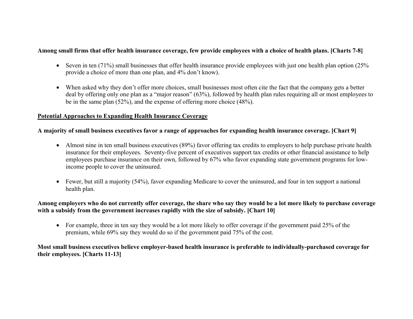### **Among small firms that offer health insurance coverage, few provide employees with a choice of health plans. [Charts 7-8]**

- Seven in ten (71%) small businesses that offer health insurance provide employees with just one health plan option (25%) provide a choice of more than one plan, and 4% don't know).
- When asked why they don't offer more choices, small businesses most often cite the fact that the company gets a better deal by offering only one plan as a "major reason" (63%), followed by health plan rules requiring all or most employees to be in the same plan (52%), and the expense of offering more choice (48%).

#### **Potential Approaches to Expanding Health Insurance Coverage**

### **A majority of small business executives favor a range of approaches for expanding health insurance coverage. [Chart 9]**

- Almost nine in ten small business executives (89%) favor offering tax credits to employers to help purchase private health insurance for their employees. Seventy-five percent of executives support tax credits or other financial assistance to help employees purchase insurance on their own, followed by 67% who favor expanding state government programs for lowincome people to cover the uninsured.
- Fewer, but still a majority (54%), favor expanding Medicare to cover the uninsured, and four in ten support a national health plan.

### **Among employers who do not currently offer coverage, the share who say they would be a lot more likely to purchase coverage**  with a subsidy from the government increases rapidly with the size of subsidy. [Chart 10]

• For example, three in ten say they would be a lot more likely to offer coverage if the government paid 25% of the premium, while 69% say they would do so if the government paid 75% of the cost.

### **Most small business executives believe employer-based health insurance is preferable to individually-purchased coverage for their employees. [Charts 11-13]**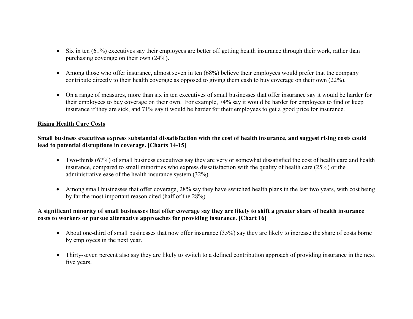- Six in ten (61%) executives say their employees are better off getting health insurance through their work, rather than purchasing coverage on their own (24%).
- Among those who offer insurance, almost seven in ten (68%) believe their employees would prefer that the company contribute directly to their health coverage as opposed to giving them cash to buy coverage on their own (22%).
- On a range of measures, more than six in ten executives of small businesses that offer insurance say it would be harder for their employees to buy coverage on their own. For example, 74% say it would be harder for employees to find or keep insurance if they are sick, and 71% say it would be harder for their employees to get a good price for insurance.

### **Rising Health Care Costs**

### **Small business executives express substantial dissatisfaction with the cost of health insurance, and suggest rising costs could lead to potential disruptions in coverage. [Charts 14-15]**

- Two-thirds (67%) of small business executives say they are very or somewhat dissatisfied the cost of health care and health insurance, compared to small minorities who express dissatisfaction with the quality of health care (25%) or the administrative ease of the health insurance system (32%).
- Among small businesses that offer coverage, 28% say they have switched health plans in the last two years, with cost being by far the most important reason cited (half of the 28%).

### **A significant minority of small businesses that offer coverage say they are likely to shift a greater share of health insurance costs to workers or pursue alternative approaches for providing insurance. [Chart 16]**

- About one-third of small businesses that now offer insurance (35%) say they are likely to increase the share of costs borne by employees in the next year.
- Thirty-seven percent also say they are likely to switch to a defined contribution approach of providing insurance in the next five years.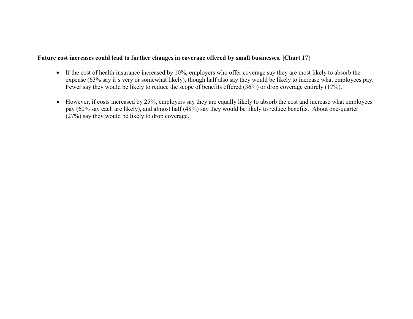### **Future cost increases could lead to further changes in coverage offered by small businesses. [Chart 17]**

- If the cost of health insurance increased by 10%, employers who offer coverage say they are most likely to absorb the expense (63% say it's very or somewhat likely), though half also say they would be likely to increase what employees pay. Fewer say they would be likely to reduce the scope of benefits offered (36%) or drop coverage entirely (17%).
- However, if costs increased by 25%, employers say they are equally likely to absorb the cost and increase what employees pay (60% say each are likely), and almost half (48%) say they would be likely to reduce benefits. About one-quarter (27%) say they would be likely to drop coverage.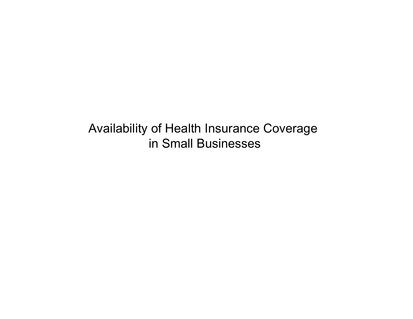Availability of Health Insurance Coverage in Small Businesses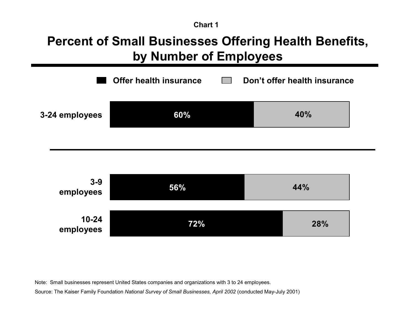# **Percent of Small Businesses Offering Health Benefits, by Number of Employees**





Note: Small businesses represent United States companies and organizations with 3 to 24 employees.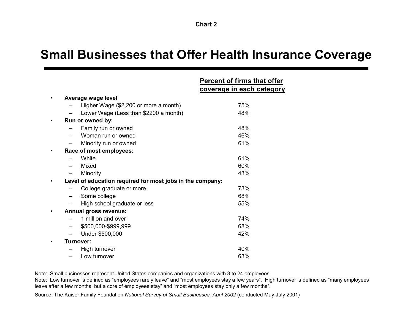## **Small Businesses that Offer Health Insurance Coverage**

|                                                           | <b>Percent of firms that offer</b><br><u>coverage in each category</u> |
|-----------------------------------------------------------|------------------------------------------------------------------------|
| Average wage level                                        |                                                                        |
| Higher Wage (\$2,200 or more a month)                     | 75%                                                                    |
| Lower Wage (Less than \$2200 a month)                     | 48%                                                                    |
| Run or owned by:                                          |                                                                        |
| Family run or owned                                       | 48%                                                                    |
| Woman run or owned                                        | 46%                                                                    |
| Minority run or owned                                     | 61%                                                                    |
| Race of most employees:                                   |                                                                        |
| White                                                     | 61%                                                                    |
| Mixed                                                     | 60%                                                                    |
| Minority                                                  | 43%                                                                    |
| Level of education required for most jobs in the company: |                                                                        |
| College graduate or more                                  | 73%                                                                    |
| Some college                                              | 68%                                                                    |
| High school graduate or less                              | 55%                                                                    |
| Annual gross revenue:                                     |                                                                        |
| 1 million and over                                        | 74%                                                                    |
| \$500,000-\$999,999                                       | 68%                                                                    |
| Under \$500,000                                           | 42%                                                                    |
| <b>Turnover:</b>                                          |                                                                        |
| High turnover                                             | 40%                                                                    |
| Low turnover                                              | 63%                                                                    |

Note: Small businesses represent United States companies and organizations with 3 to 24 employees.

Note: Low turnover is defined as "employees rarely leave" and "most employees stay a few years". High turnover is defined as "many employees leave after a few months, but a core of employees stay" and "most employees stay only a few months".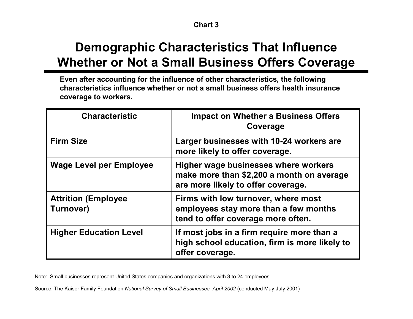# **Demographic Characteristics That Influence Whether or Not a Small Business Offers Coverage**

**Even after accounting for the influence of other characteristics, the following characteristics influence whether or not a small business offers health insurance coverage to workers.**

| <b>Characteristic</b>                    | <b>Impact on Whether a Business Offers</b><br>Coverage                                                                  |
|------------------------------------------|-------------------------------------------------------------------------------------------------------------------------|
| <b>Firm Size</b>                         | Larger businesses with 10-24 workers are<br>more likely to offer coverage.                                              |
| <b>Wage Level per Employee</b>           | Higher wage businesses where workers<br>make more than \$2,200 a month on average<br>are more likely to offer coverage. |
| <b>Attrition (Employee)</b><br>Turnover) | Firms with low turnover, where most<br>employees stay more than a few months<br>tend to offer coverage more often.      |
| <b>Higher Education Level</b>            | If most jobs in a firm require more than a<br>high school education, firm is more likely to<br>offer coverage.          |

Note: Small businesses represent United States companies and organizations with 3 to 24 employees.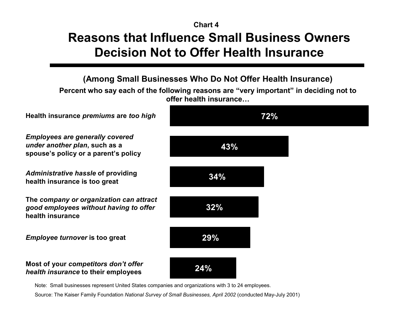## **Reasons that Influence Small Business Owners Decision Not to Offer Health Insurance Chart 4**



Note: Small businesses represent United States companies and organizations with 3 to 24 employees.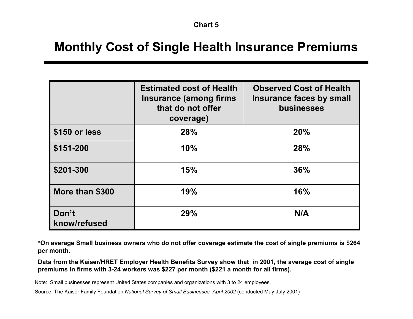# **Monthly Cost of Single Health Insurance Premiums**

|                       | <b>Estimated cost of Health</b><br><b>Insurance (among firms</b><br>that do not offer<br>coverage) | <b>Observed Cost of Health</b><br>Insurance faces by small<br><b>businesses</b> |  |  |  |
|-----------------------|----------------------------------------------------------------------------------------------------|---------------------------------------------------------------------------------|--|--|--|
| \$150 or less         | 28%                                                                                                | 20%                                                                             |  |  |  |
| \$151-200             | 10%                                                                                                | 28%                                                                             |  |  |  |
| \$201-300             | 15%                                                                                                | 36%                                                                             |  |  |  |
| More than \$300       | 19%                                                                                                | 16%                                                                             |  |  |  |
| Don't<br>know/refused | 29%                                                                                                | N/A                                                                             |  |  |  |

**\*On average Small business owners who do not offer coverage estimate the cost of single premiums is \$264 per month.** 

**Data from the Kaiser/HRET Employer Health Benefits Survey show that in 2001, the average cost of single premiums in firms with 3-24 workers was \$227 per month (\$221 a month for all firms).** 

Note: Small businesses represent United States companies and organizations with 3 to 24 employees.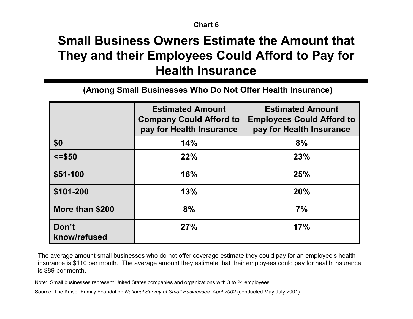# **Small Business Owners Estimate the Amount that They and their Employees Could Afford to Pay for Health Insurance**

**(Among Small Businesses Who Do Not Offer Health Insurance)**

|                       | <b>Estimated Amount</b><br><b>Company Could Afford to</b><br>pay for Health Insurance | <b>Estimated Amount</b><br><b>Employees Could Afford to</b><br>pay for Health Insurance |  |  |  |
|-----------------------|---------------------------------------------------------------------------------------|-----------------------------------------------------------------------------------------|--|--|--|
| \$0                   | 14%                                                                                   | 8%                                                                                      |  |  |  |
| $\le$ =\$50           | 22%                                                                                   | 23%                                                                                     |  |  |  |
| \$51-100              | 16%                                                                                   | 25%                                                                                     |  |  |  |
| \$101-200             | 13%                                                                                   | 20%                                                                                     |  |  |  |
| More than \$200       | 8%                                                                                    | 7%                                                                                      |  |  |  |
| Don't<br>know/refused | 27%                                                                                   | 17%                                                                                     |  |  |  |

The average amount small businesses who do not offer coverage estimate they could pay for an employee's health insurance is \$110 per month. The average amount they estimate that their employees could pay for health insurance is \$89 per month.

Note: Small businesses represent United States companies and organizations with 3 to 24 employees.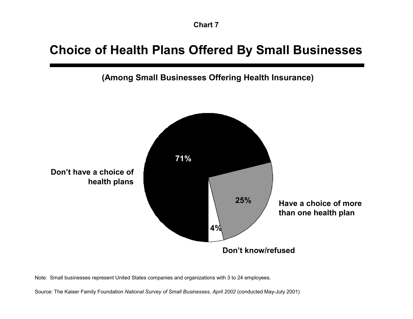# **Choice of Health Plans Offered By Small Businesses**

**(Among Small Businesses Offering Health Insurance)**



Note: Small businesses represent United States companies and organizations with 3 to 24 employees.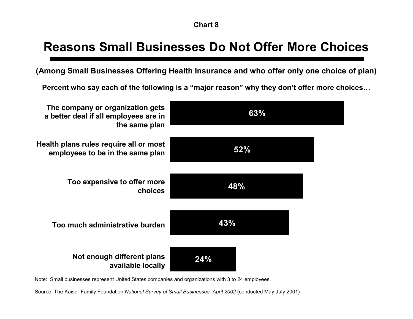# **Reasons Small Businesses Do Not Offer More Choices**

**(Among Small Businesses Offering Health Insurance and who offer only one choice of plan)**

**Percent who say each of the following is a "major reason" why they don't offer more choices…**



Note: Small businesses represent United States companies and organizations with 3 to 24 employees.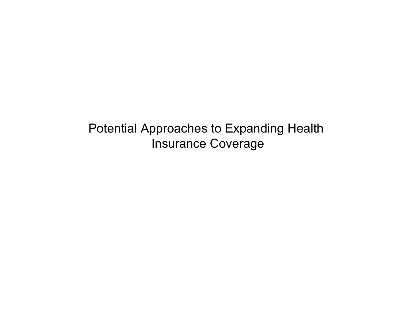Potential Approaches to Expanding Health Insurance Coverage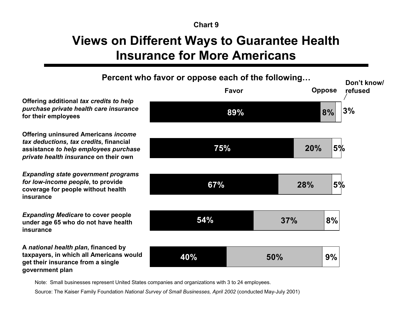# **Views on Different Ways to Guarantee Health Insurance for More Americans**



Note: Small businesses represent United States companies and organizations with 3 to 24 employees.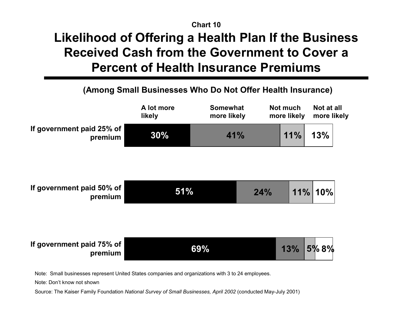# **Likelihood of Offering a Health Plan If the Business Received Cash from the Government to Cover a Percent of Health Insurance Premiums Chart 10**

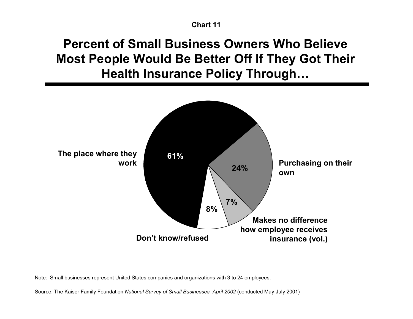# **Percent of Small Business Owners Who Believe Most People Would Be Better Off If They Got Their Health Insurance Policy Through…**



Note: Small businesses represent United States companies and organizations with 3 to 24 employees.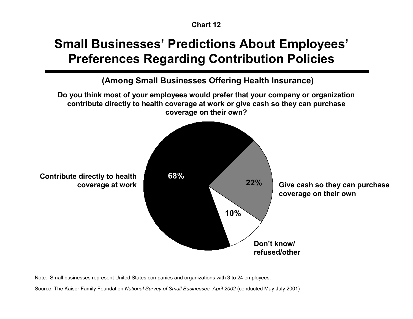# **Small Businesses' Predictions About Employees' Preferences Regarding Contribution Policies**

**10% 22% Contribute directly to health 68%**<br> **22% Give cash so they can purchase coverage at work coverage on their own Don't know/ refused/other Do you think most of your employees would prefer that your company or organization contribute directly to health coverage at work or give cash so they can purchase coverage on their own? (Among Small Businesses Offering Health Insurance)**

Note: Small businesses represent United States companies and organizations with 3 to 24 employees.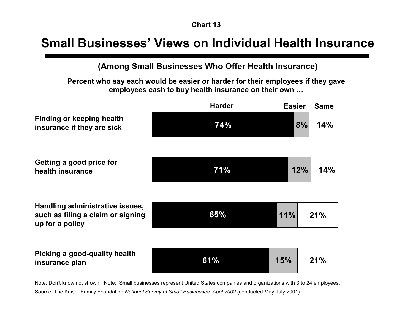## **Small Businesses' Views on Individual Health Insurance**

**(Among Small Businesses Who Offer Health Insurance)**

**Percent who say each would be easier or harder for their employees if they gave employees cash to buy health insurance on their own …**

|                                                                                         | <b>Harder</b> | <b>Easier</b> | <b>Same</b> |
|-----------------------------------------------------------------------------------------|---------------|---------------|-------------|
| <b>Finding or keeping health</b><br>insurance if they are sick                          | 74%           | 8%            | 14%         |
| Getting a good price for<br>health insurance                                            | <b>71%</b>    | 12%           | 14%         |
| Handling administrative issues,<br>such as filing a claim or signing<br>up for a policy | 65%           | 11%           | 21%         |
| Picking a good-quality health<br>insurance plan                                         | 61%           | 15%           | 21%         |

Note: Don't know not shown; Note: Small businesses represent United States companies and organizations with 3 to 24 employees. Source: The Kaiser Family Foundation *National Survey of Small Businesses, April 2002* (conducted May-July 2001)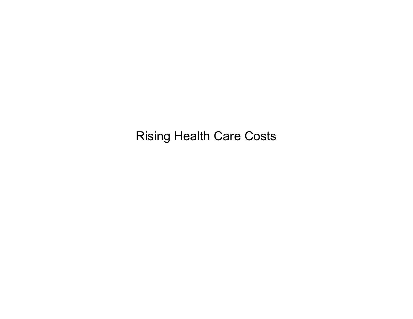Rising Health Care Costs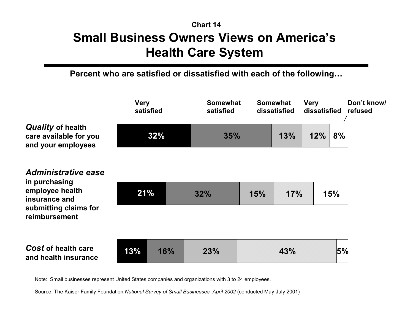## **Small Business Owners Views on America's Health Care System Chart 14**

**Percent who are satisfied or dissatisfied with each of the following…**

|                                                                                                                    | <b>Very</b><br>satisfied<br>32%<br>21% |     | <b>Somewhat</b><br>satisfied<br>35%<br>15%<br>32% |  | <b>Somewhat</b><br>dissatisfied |     | dissatisfied | Don't know/<br>refused |
|--------------------------------------------------------------------------------------------------------------------|----------------------------------------|-----|---------------------------------------------------|--|---------------------------------|-----|--------------|------------------------|
| <b>Quality of health</b><br>care available for you<br>and your employees                                           |                                        |     |                                                   |  | 13%                             | 12% | 8%           |                        |
| Administrative ease<br>in purchasing<br>employee health<br>insurance and<br>submitting claims for<br>reimbursement |                                        |     |                                                   |  | 17%                             |     | 15%          |                        |
| <b>Cost of health care</b><br>and health insurance                                                                 | 13%                                    | 16% | 23%                                               |  | 43%                             |     | 5%           |                        |

Note: Small businesses represent United States companies and organizations with 3 to 24 employees.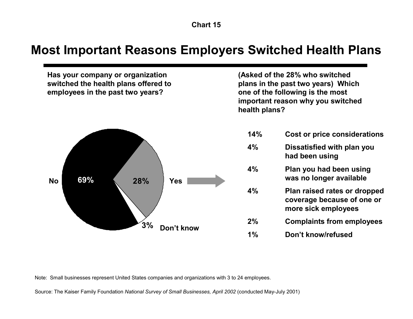## **Most Important Reasons Employers Switched Health Plans**



Note: Small businesses represent United States companies and organizations with 3 to 24 employees.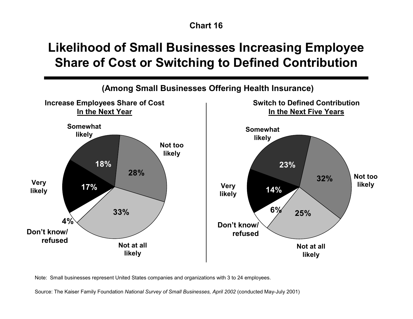# **Likelihood of Small Businesses Increasing Employee Share of Cost or Switching to Defined Contribution**



Note: Small businesses represent United States companies and organizations with 3 to 24 employees.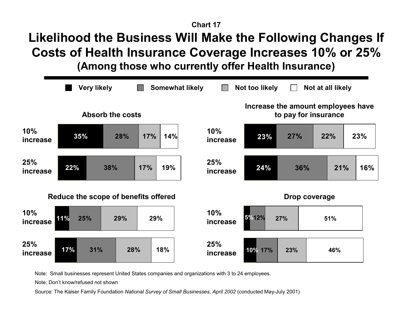# **Likelihood the Business Will Make the Following Changes If Costs of Health Insurance Coverage Increases 10% or 25%**

**(Among those who currently offer Health Insurance)**



Note: Small businesses represent United States companies and organizations with 3 to 24 employees.

Note: Don't know/refused not shown